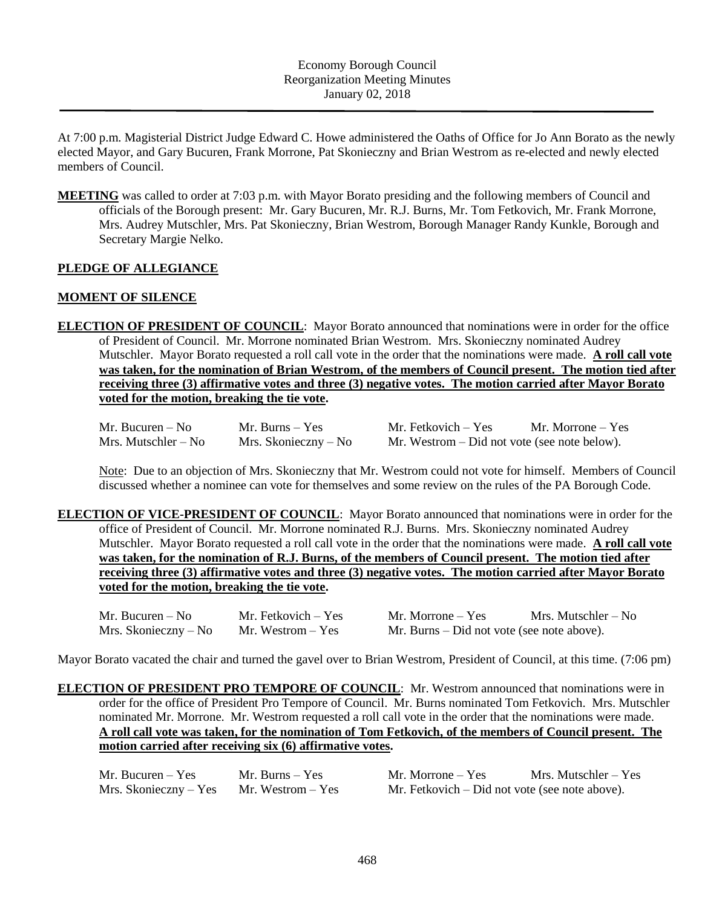At 7:00 p.m. Magisterial District Judge Edward C. Howe administered the Oaths of Office for Jo Ann Borato as the newly elected Mayor, and Gary Bucuren, Frank Morrone, Pat Skonieczny and Brian Westrom as re-elected and newly elected members of Council.

**MEETING** was called to order at 7:03 p.m. with Mayor Borato presiding and the following members of Council and officials of the Borough present: Mr. Gary Bucuren, Mr. R.J. Burns, Mr. Tom Fetkovich, Mr. Frank Morrone, Mrs. Audrey Mutschler, Mrs. Pat Skonieczny, Brian Westrom, Borough Manager Randy Kunkle, Borough and Secretary Margie Nelko.

## **PLEDGE OF ALLEGIANCE**

## **MOMENT OF SILENCE**

**ELECTION OF PRESIDENT OF COUNCIL**: Mayor Borato announced that nominations were in order for the office of President of Council. Mr. Morrone nominated Brian Westrom. Mrs. Skonieczny nominated Audrey Mutschler. Mayor Borato requested a roll call vote in the order that the nominations were made. **A roll call vote was taken, for the nomination of Brian Westrom, of the members of Council present. The motion tied after receiving three (3) affirmative votes and three (3) negative votes. The motion carried after Mayor Borato voted for the motion, breaking the tie vote.**

| Mr. Bucuren $-$ No  | Mr. Burns – Yes      | Mr. Fetkovich – Yes                            | Mr. Morrone $-$ Yes |
|---------------------|----------------------|------------------------------------------------|---------------------|
| Mrs. Mutschler – No | Mrs. Skonieczny – No | Mr. Westrom $-$ Did not vote (see note below). |                     |

Note: Due to an objection of Mrs. Skonieczny that Mr. Westrom could not vote for himself. Members of Council discussed whether a nominee can vote for themselves and some review on the rules of the PA Borough Code.

**ELECTION OF VICE-PRESIDENT OF COUNCIL**: Mayor Borato announced that nominations were in order for the office of President of Council. Mr. Morrone nominated R.J. Burns. Mrs. Skonieczny nominated Audrey Mutschler. Mayor Borato requested a roll call vote in the order that the nominations were made. **A roll call vote was taken, for the nomination of R.J. Burns, of the members of Council present. The motion tied after receiving three (3) affirmative votes and three (3) negative votes. The motion carried after Mayor Borato voted for the motion, breaking the tie vote.**

| Mr. Bucuren $-$ No   | Mr. Fetkovich – Yes | Mr. Morrone – Yes                          | Mrs. Mutschler – No |
|----------------------|---------------------|--------------------------------------------|---------------------|
| Mrs. Skonieczny – No | Mr. Westrom $-$ Yes | Mr. Burns – Did not vote (see note above). |                     |

Mayor Borato vacated the chair and turned the gavel over to Brian Westrom, President of Council, at this time. (7:06 pm)

**ELECTION OF PRESIDENT PRO TEMPORE OF COUNCIL**: Mr. Westrom announced that nominations were in order for the office of President Pro Tempore of Council. Mr. Burns nominated Tom Fetkovich. Mrs. Mutschler nominated Mr. Morrone. Mr. Westrom requested a roll call vote in the order that the nominations were made. **A roll call vote was taken, for the nomination of Tom Fetkovich, of the members of Council present. The motion carried after receiving six (6) affirmative votes.**

| Mr. Bucuren $-$ Yes   | Mr. Burns $-$ Yes | Mr. Morrone $-$ Yes                            | Mrs. Mutschler – Yes |
|-----------------------|-------------------|------------------------------------------------|----------------------|
| Mrs. Skonieczny – Yes | Mr. Westrom – Yes | Mr. Fetkovich – Did not vote (see note above). |                      |